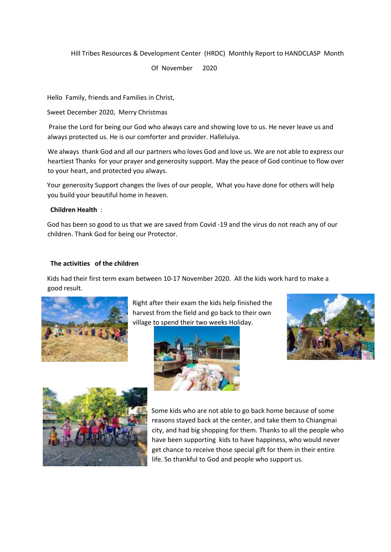## Hill Tribes Resources & Development Center (HRDC) Monthly Report to HANDCLASP Month

Of November 2020

Hello Family, friends and Families in Christ,

Sweet December 2020, Merry Christmas

Praise the Lord for being our God who always care and showing love to us. He never leave us and always protected us. He is our comforter and provider. Halleluiya.

We always thank God and all our partners who loves God and love us. We are not able to express our heartiest Thanks for your prayer and generosity support. May the peace of God continue to flow over to your heart, and protected you always.

Your generosity Support changes the lives of our people, What you have done for others will help you build your beautiful home in heaven.

## **Children Health** :

God has been so good to us that we are saved from Covid -19 and the virus do not reach any of our children. Thank God for being our Protector.

## **The activities of the children**

Kids had their first term exam between 10-17 November 2020. All the kids work hard to make a good result.



Right after their exam the kids help finished the harvest from the field and go back to their own village to spend their two weeks Holiday.







Some kids who are not able to go back home because of some reasons stayed back at the center, and take them to Chiangmai city, and had big shopping for them. Thanks to all the people who have been supporting kids to have happiness, who would never get chance to receive those special gift for them in their entire life. So thankful to God and people who support us.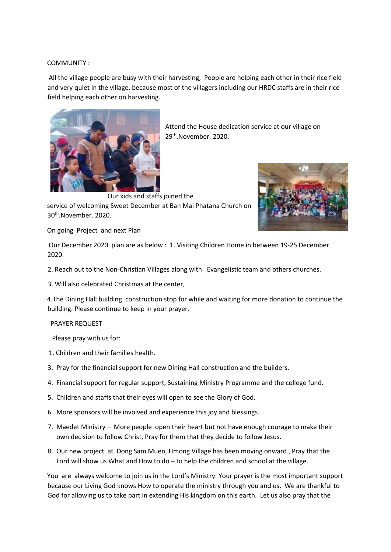## COMMUNITY :

All the village people are busy with their harvesting, People are helping each other in their rice field and very quiet in the village, because most of the villagers including our HRDC staffs are in their rice field helping each other on harvesting.



Attend the House dedication service at our village on 29th.November. 2020.

Our kids and staffs joined the service of welcoming Sweet December at Ban Mai Phatana Church on



On going Project and next Plan

30th.November. 2020.

Our December 2020 plan are as below : 1. Visiting Children Home in between 19-25 December 2020.

- 2. Reach out to the Non-Christian Villages along with Evangelistic team and others churches.
- 3. Will also celebrated Christmas at the center,

4.The Dining Hall building construction stop for while and waiting for more donation to continue the building. Please continue to keep in your prayer.

PRAYER REQUEST

Please pray with us for:

- 1. Children and their families health.
- 3. Pray for the financial support for new Dining Hall construction and the builders.
- 4. Financial support for regular support, Sustaining Ministry Programme and the college fund.
- 5. Children and staffs that their eyes will open to see the Glory of God.
- 6. More sponsors will be involved and experience this joy and blessings.
- 7. Maedet Ministry More people open their heart but not have enough courage to make their own decision to follow Christ, Pray for them that they decide to follow Jesus.
- 8. Our new project at Dong Sam Muen, Hmong Village has been moving onward , Pray that the Lord will show us What and How to do – to help the children and school at the village.

You are always welcome to join us in the Lord's Ministry. Your prayer is the most important support because our Living God knows How to operate the ministry through you and us. We are thankful to God for allowing us to take part in extending His kingdom on this earth. Let us also pray that the